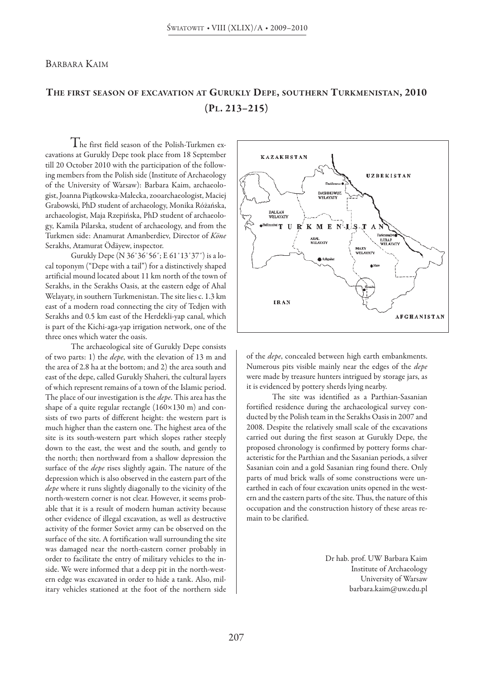### BArBArA KAIM

# **ThE fiRST SEASON Of ExCAvATiON AT GuRuKLY DEPE, SOuThERN TuRKMENiSTAN, 2010 (PL. 213–215)**

 $\rm T$ he first field season of the Polish-Turkmen excavations at Gurukly Depe took place from 18 September till 20 October 2010 with the participation of the following members from the Polish side (Institute of Archaeology of the University of Warsaw): Barbara Kaim, archaeologist, Joanna Piątkowska-Małecka,zooarchaeologist, Maciej Grabowski, PhD student of archaeology, Monika Różańska, archaeologist, Maja Rzepińska, PhD student of archaeology, Kamila Pilarska, student of archaeology, and from the Turkmen side: Anamurat Amanberdiev, Director of *Köne* Serakhs, Atamurat Ödäyew, inspector.

Gurukly Depe (N 36°36'56"; E 61°13'37") is a local toponym ("Depe with a tail") for a distinctively shaped artificial mound located about 11 km north of the town of Serakhs, in the Serakhs Oasis, at the eastern edge of Ahal Welayaty, in southern Turkmenistan. The site lies c. 1.3 km east of a modern road connecting the city of Tedjen with Serakhs and 0.5 km east of the Herdekli-yap canal, which is part of the Kichi-aga-yap irrigation network, one of the three ones which water the oasis.

The archaeological site of Gurukly Depe consists of two parts: 1) the *depe*, with the elevation of 13 m and the area of 2.8 ha at the bottom; and 2) the area south and east of the depe, called Gurukly Shaheri, the cultural layers of which represent remains of a town of the Islamic period. The place of our investigation is the *depe*. This area has the shape of a quite regular rectangle (160×130 m) and consists of two parts of different height: the western part is much higher than the eastern one. The highest area of the site is its south-western part which slopes rather steeply down to the east, the west and the south, and gently to the north; then northward from a shallow depression the surface of the *depe* rises slightly again. The nature of the depression which is also observed in the eastern part of the *depe* where it runs slightly diagonally to the vicinity of the north-western corner is not clear. However, it seems probable that it is a result of modern human activity because other evidence of illegal excavation, as well as destructive activity of the former Soviet army can be observed on the surface of the site. A fortification wall surrounding the site was damaged near the north-eastern corner probably in order to facilitate the entry of military vehicles to the inside. We were informed that a deep pit in the north-western edge was excavated in order to hide a tank. Also, military vehicles stationed at the foot of the northern side



of the *depe*, concealed between high earth embankments. Numerous pits visible mainly near the edges of the *depe* were made by treasure hunters intrigued by storage jars, as it is evidenced by pottery sherds lying nearby.

The site was identified as a Parthian-Sasanian fortified residence during the archaeological survey conducted by the Polish team in the Serakhs Oasis in 2007 and 2008. Despite the relatively small scale of the excavations carried out during the first season at Gurukly Depe, the proposed chronology is confirmed by pottery forms characteristic for the Parthian and the Sasanian periods, a silver Sasanian coin and a gold Sasanian ring found there. Only parts of mud brick walls of some constructions were unearthed in each of four excavation units opened in the western and the eastern parts of the site. Thus, the nature of this occupation and the construction history of these areas remain to be clarified.

> Dr hab. prof. UW Barbara Kaim Institute of Archaeology University of Warsaw barbara.kaim@uw.edu.pl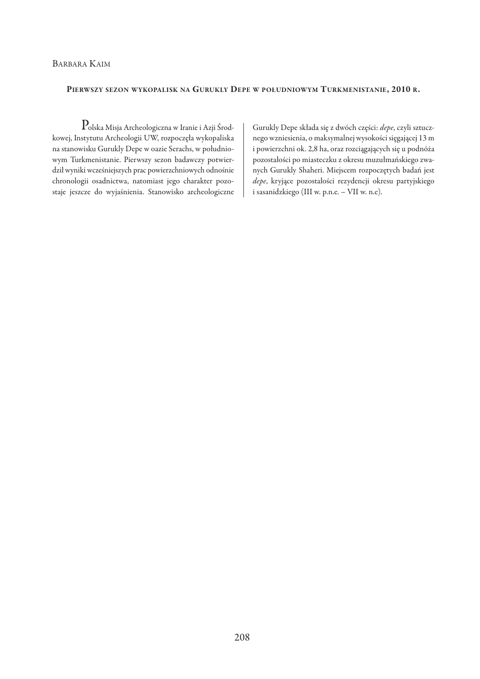## BArBArA KAIM

#### **PIERWSZY SEZON WYKOPALISK NA GURUKLY DEPE W POŁUDNIOWYM TURKMENISTANIE, 2010 R.**

 $\mathbf P$ olska Misja Archeologiczna w Iranie i Azji Środkowej, Instytutu Archeologii UW, rozpoczęła wykopaliska na stanowisku Gurukly Depe w oazie Serachs, w południowym Turkmenistanie. Pierwszy sezon badawczy potwierdził wyniki wcześniejszych prac powierzchniowych odnośnie chronologii osadnictwa, natomiast jego charakter pozostaje jeszcze do wyjaśnienia. Stanowisko archeologiczne

Gurukly depe składa się z dwóch części: *depe*, czyli sztucznego wzniesienia, o maksymalnej wysokości sięgającej 13 m i powierzchni ok. 2,8 ha, oraz rozciągających się u podnóża pozostałości po miasteczku z okresu muzułmańskiego zwanych Gurukly Shaheri. Miejscem rozpoczętych badań jest *depe*, kryjące pozostałości rezydencji okresu partyjskiego i sasanidzkiego (III w. p.n.e. – vII w. n.e).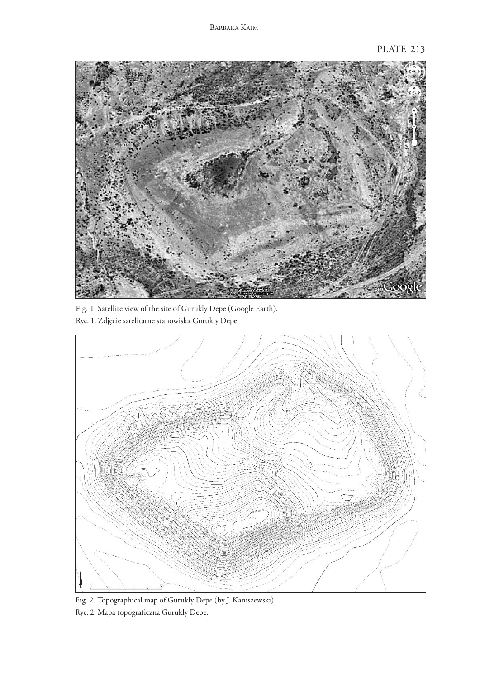

Fig. 1. Satellite view of the site of Gurukly Depe (Google Earth). Ryc. 1. Zdjęcie satelitarne stanowiska Gurukly Depe.



Fig. 2. Topographical map of Gurukly Depe (by J. Kaniszewski). Ryc. 2. Mapa topograficzna Gurukly Depe.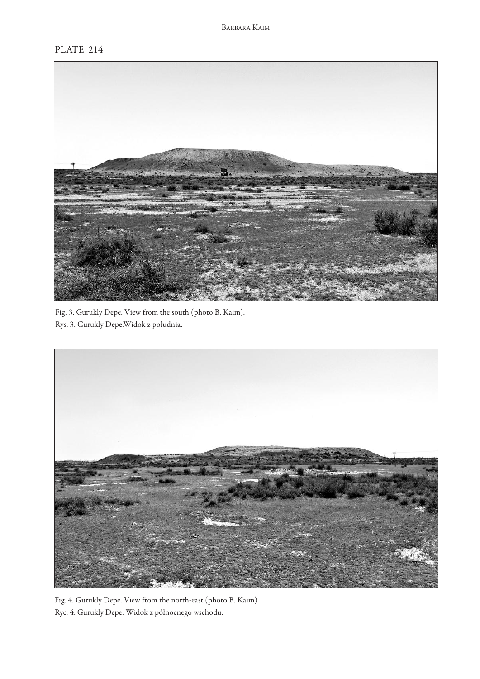## PLATE 214



Fig. 3. Gurukly Depe. View from the south (photo B. Kaim). Rys. 3. Gurukly Depe.Widok z południa.



Fig. 4. Gurukly Depe. View from the north-east (photo B. Kaim). Ryc. 4. Gurukly Depe. Widok z północnego wschodu.